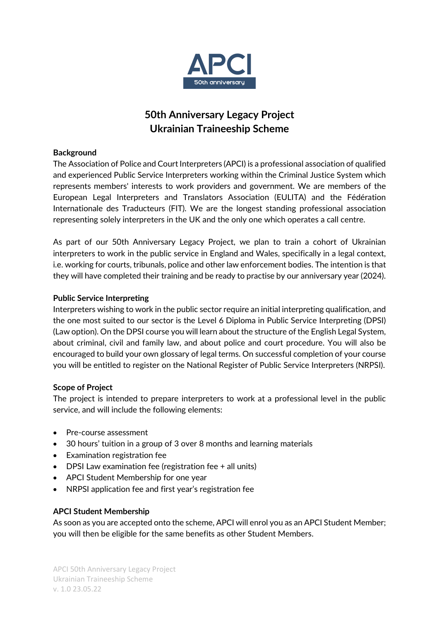

# **50th Anniversary Legacy Project Ukrainian Traineeship Scheme**

## **Background**

The Association of Police and Court Interpreters (APCI) is a professional association of qualified and experienced Public Service Interpreters working within the Criminal Justice System which represents members' interests to work providers and government. We are members of the European Legal Interpreters and Translators Association (EULITA) and the Fédération Internationale des Traducteurs (FIT). We are the longest standing professional association representing solely interpreters in the UK and the only one which operates a call centre.

As part of our 50th Anniversary Legacy Project, we plan to train a cohort of Ukrainian interpreters to work in the public service in England and Wales, specifically in a legal context, i.e. working for courts, tribunals, police and other law enforcement bodies. The intention is that they will have completed their training and be ready to practise by our anniversary year (2024).

## **Public Service Interpreting**

Interpreters wishing to work in the public sector require an initial interpreting qualification, and the one most suited to our sector is the Level 6 Diploma in Public Service Interpreting (DPSI) (Law option). On the DPSI course you will learn about the structure of the English Legal System, about criminal, civil and family law, and about police and court procedure. You will also be encouraged to build your own glossary of legal terms. On successful completion of your course you will be entitled to register on the National Register of Public Service Interpreters (NRPSI).

#### **Scope of Project**

The project is intended to prepare interpreters to work at a professional level in the public service, and will include the following elements:

- Pre-course assessment
- 30 hours' tuition in a group of 3 over 8 months and learning materials
- Examination registration fee
- DPSI Law examination fee (registration fee + all units)
- APCI Student Membership for one year
- NRPSI application fee and first year's registration fee

# **APCI Student Membership**

As soon as you are accepted onto the scheme, APCI will enrol you as an APCI Student Member; you will then be eligible for the same benefits as other Student Members.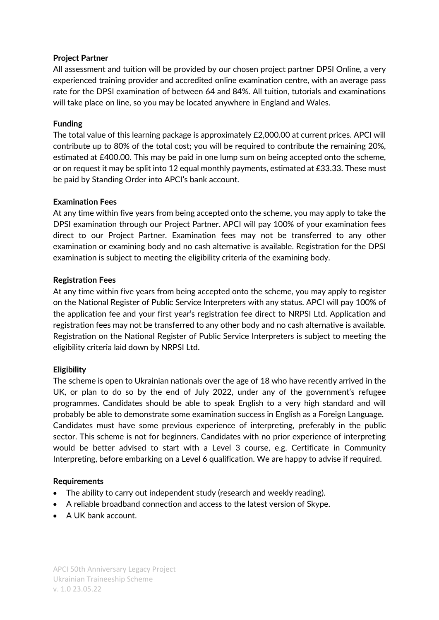## **Project Partner**

All assessment and tuition will be provided by our chosen project partner DPSI Online, a very experienced training provider and accredited online examination centre, with an average pass rate for the DPSI examination of between 64 and 84%. All tuition, tutorials and examinations will take place on line, so you may be located anywhere in England and Wales.

## **Funding**

The total value of this learning package is approximately £2,000.00 at current prices. APCI will contribute up to 80% of the total cost; you will be required to contribute the remaining 20%, estimated at £400.00. This may be paid in one lump sum on being accepted onto the scheme, or on request it may be split into 12 equal monthly payments, estimated at £33.33. These must be paid by Standing Order into APCI's bank account.

## **Examination Fees**

At any time within five years from being accepted onto the scheme, you may apply to take the DPSI examination through our Project Partner. APCI will pay 100% of your examination fees direct to our Project Partner. Examination fees may not be transferred to any other examination or examining body and no cash alternative is available. Registration for the DPSI examination is subject to meeting the eligibility criteria of the examining body.

## **Registration Fees**

At any time within five years from being accepted onto the scheme, you may apply to register on the National Register of Public Service Interpreters with any status. APCI will pay 100% of the application fee and your first year's registration fee direct to NRPSI Ltd. Application and registration fees may not be transferred to any other body and no cash alternative is available. Registration on the National Register of Public Service Interpreters is subject to meeting the eligibility criteria laid down by NRPSI Ltd.

# **Eligibility**

The scheme is open to Ukrainian nationals over the age of 18 who have recently arrived in the UK, or plan to do so by the end of July 2022, under any of the government's refugee programmes. Candidates should be able to speak English to a very high standard and will probably be able to demonstrate some examination success in English as a Foreign Language. Candidates must have some previous experience of interpreting, preferably in the public sector. This scheme is not for beginners. Candidates with no prior experience of interpreting would be better advised to start with a Level 3 course, e.g. Certificate in Community Interpreting, before embarking on a Level 6 qualification. We are happy to advise if required.

#### **Requirements**

- The ability to carry out independent study (research and weekly reading).
- A reliable broadband connection and access to the latest version of Skype.
- A UK bank account.